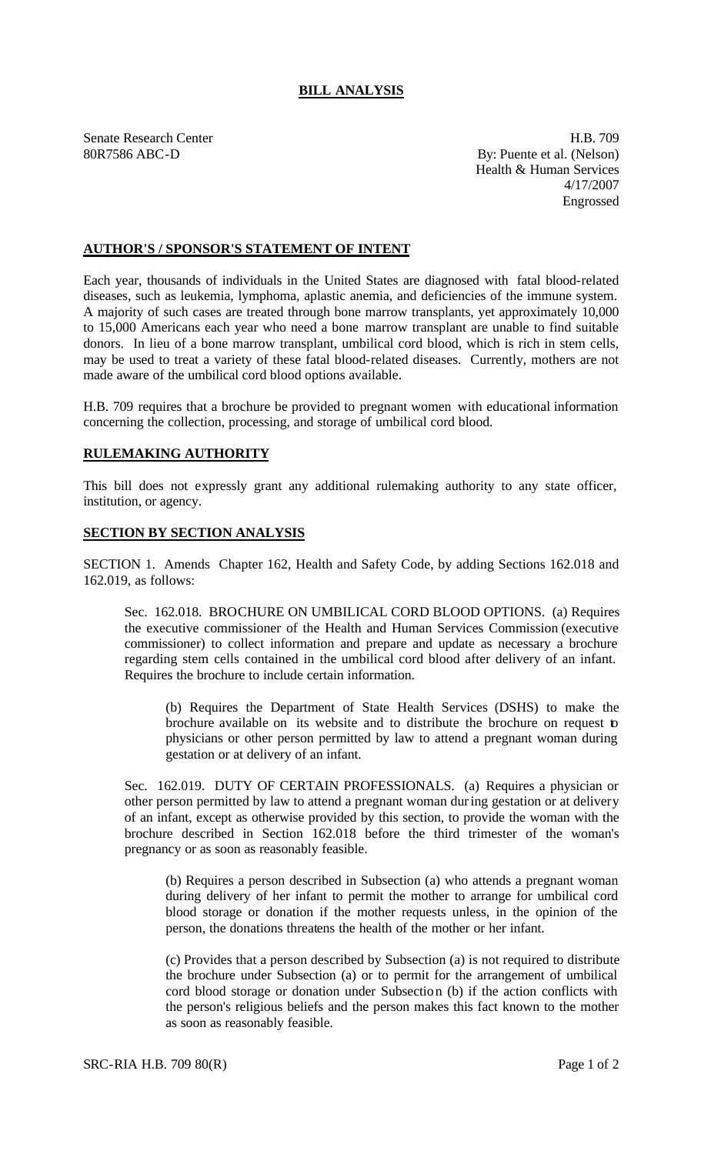## **BILL ANALYSIS**

Senate Research Center **H.B.** 709 80R7586 ABC-D By: Puente et al. (Nelson) Health & Human Services 4/17/2007 Engrossed

## **AUTHOR'S / SPONSOR'S STATEMENT OF INTENT**

Each year, thousands of individuals in the United States are diagnosed with fatal blood-related diseases, such as leukemia, lymphoma, aplastic anemia, and deficiencies of the immune system. A majority of such cases are treated through bone marrow transplants, yet approximately 10,000 to 15,000 Americans each year who need a bone marrow transplant are unable to find suitable donors. In lieu of a bone marrow transplant, umbilical cord blood, which is rich in stem cells, may be used to treat a variety of these fatal blood-related diseases. Currently, mothers are not made aware of the umbilical cord blood options available.

H.B. 709 requires that a brochure be provided to pregnant women with educational information concerning the collection, processing, and storage of umbilical cord blood.

## **RULEMAKING AUTHORITY**

This bill does not expressly grant any additional rulemaking authority to any state officer, institution, or agency.

## **SECTION BY SECTION ANALYSIS**

SECTION 1. Amends Chapter 162, Health and Safety Code, by adding Sections 162.018 and 162.019, as follows:

Sec. 162.018. BROCHURE ON UMBILICAL CORD BLOOD OPTIONS. (a) Requires the executive commissioner of the Health and Human Services Commission (executive commissioner) to collect information and prepare and update as necessary a brochure regarding stem cells contained in the umbilical cord blood after delivery of an infant. Requires the brochure to include certain information.

(b) Requires the Department of State Health Services (DSHS) to make the brochure available on its website and to distribute the brochure on request to physicians or other person permitted by law to attend a pregnant woman during gestation or at delivery of an infant.

Sec. 162.019. DUTY OF CERTAIN PROFESSIONALS. (a) Requires a physician or other person permitted by law to attend a pregnant woman during gestation or at delivery of an infant, except as otherwise provided by this section, to provide the woman with the brochure described in Section 162.018 before the third trimester of the woman's pregnancy or as soon as reasonably feasible.

(b) Requires a person described in Subsection (a) who attends a pregnant woman during delivery of her infant to permit the mother to arrange for umbilical cord blood storage or donation if the mother requests unless, in the opinion of the person, the donations threatens the health of the mother or her infant.

(c) Provides that a person described by Subsection (a) is not required to distribute the brochure under Subsection (a) or to permit for the arrangement of umbilical cord blood storage or donation under Subsection (b) if the action conflicts with the person's religious beliefs and the person makes this fact known to the mother as soon as reasonably feasible.